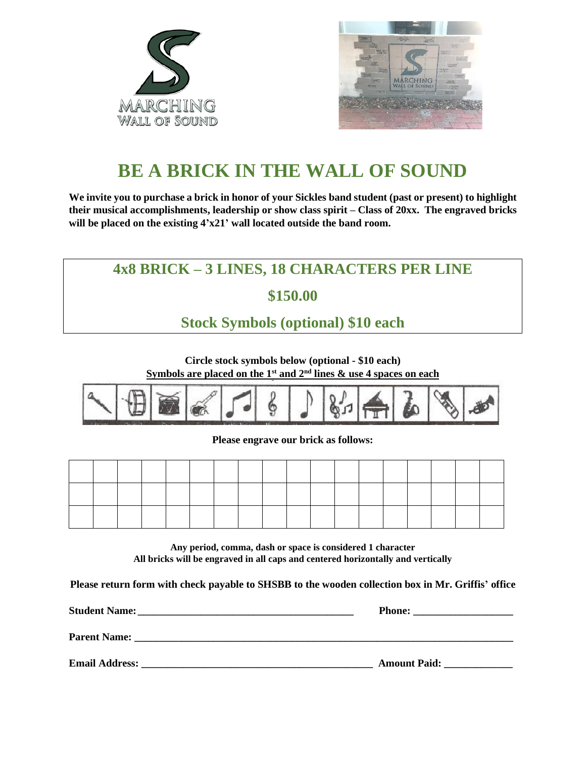



# **BE A BRICK IN THE WALL OF SOUND**

**We invite you to purchase a brick in honor of your Sickles band student (past or present) to highlight their musical accomplishments, leadership or show class spirit – Class of 20xx. The engraved bricks will be placed on the existing 4'x21' wall located outside the band room.**



**Circle stock symbols below (optional - \$10 each) Symbols are placed on the 1st and 2nd lines & use 4 spaces on each**



**Please engrave our brick as follows:**

**Any period, comma, dash or space is considered 1 character All bricks will be engraved in all caps and centered horizontally and vertically**

**Please return form with check payable to SHSBB to the wooden collection box in Mr. Griffis' office**

| <b>Student Name:</b>  | <b>Phone:</b>       |
|-----------------------|---------------------|
| <b>Parent Name:</b>   |                     |
| <b>Email Address:</b> | <b>Amount Paid:</b> |